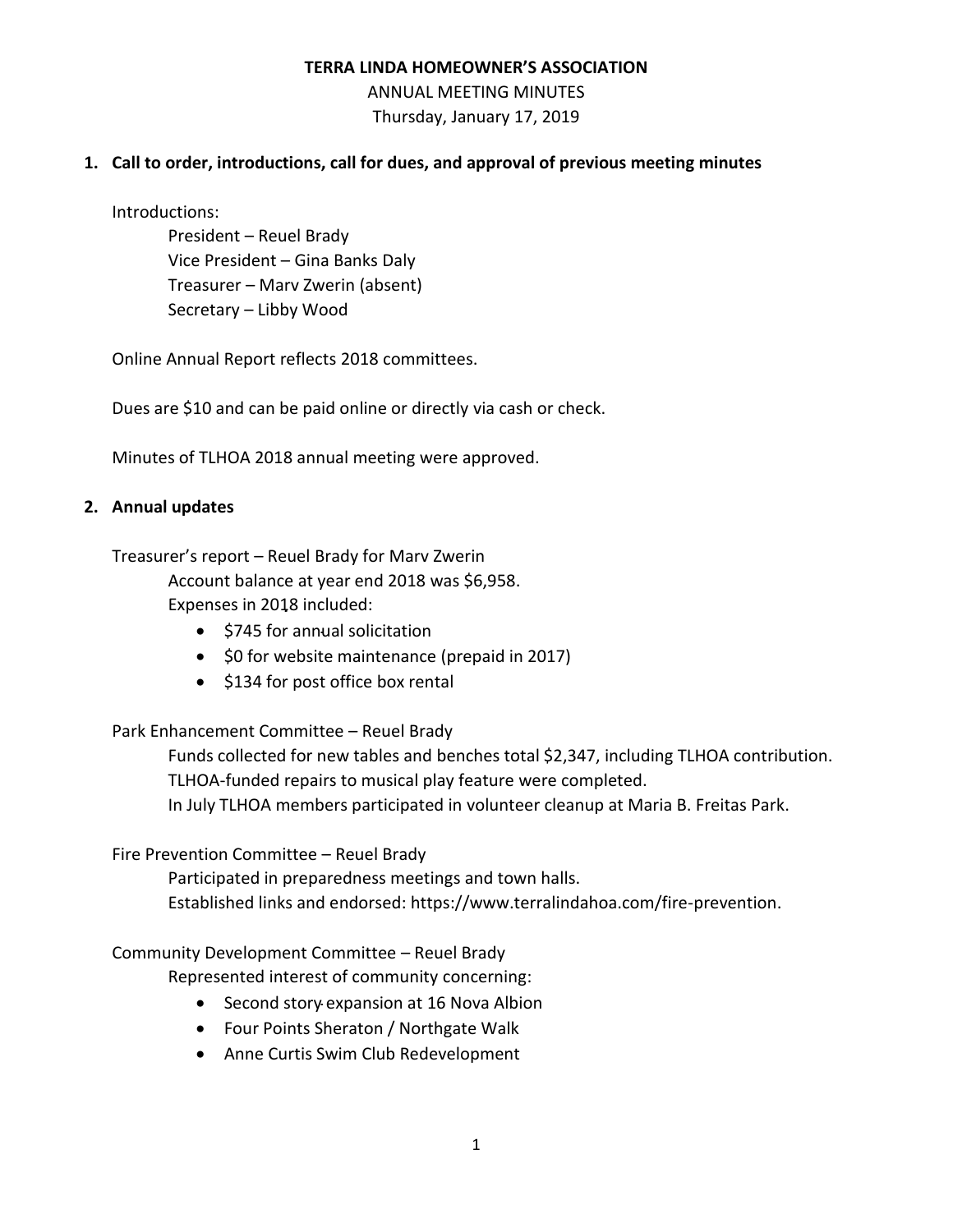ANNUAL MEETING MINUTES Thursday, January 17, 2019

## **1. Call to order, introductions, call for dues, and approval of previous meeting minutes**

Introductions:

President – Reuel Brady Vice President – Gina Banks Daly Treasurer – Marv Zwerin (absent) Secretary – Libby Wood

Online Annual Report reflects 2018 committees.

Dues are \$10 and can be paid online or directly via cash or check.

Minutes of TLHOA 2018 annual meeting were approved.

## **2. Annual updates**

Treasurer's report – Reuel Brady for Marv Zwerin

Account balance at year end 2018 was \$6,958. Expenses in 2018 included:

- \$745 for annual solicitation
- \$0 for website maintenance (prepaid in 2017)
- \$134 for post office box rental

# Park Enhancement Committee – Reuel Brady

Funds collected for new tables and benches total \$2,347, including TLHOA contribution. TLHOA-funded repairs to musical play feature were completed.

In July TLHOA members participated in volunteer cleanup at Maria B. Freitas Park.

### Fire Prevention Committee – Reuel Brady

Participated in preparedness meetings and town halls. Established links and endorsed: https://www.terralindahoa.com/fire-prevention.

Community Development Committee – Reuel Brady

Represented interest of community concerning:

- Second story expansion at 16 Nova Albion
- Four Points Sheraton / Northgate Walk
- Anne Curtis Swim Club Redevelopment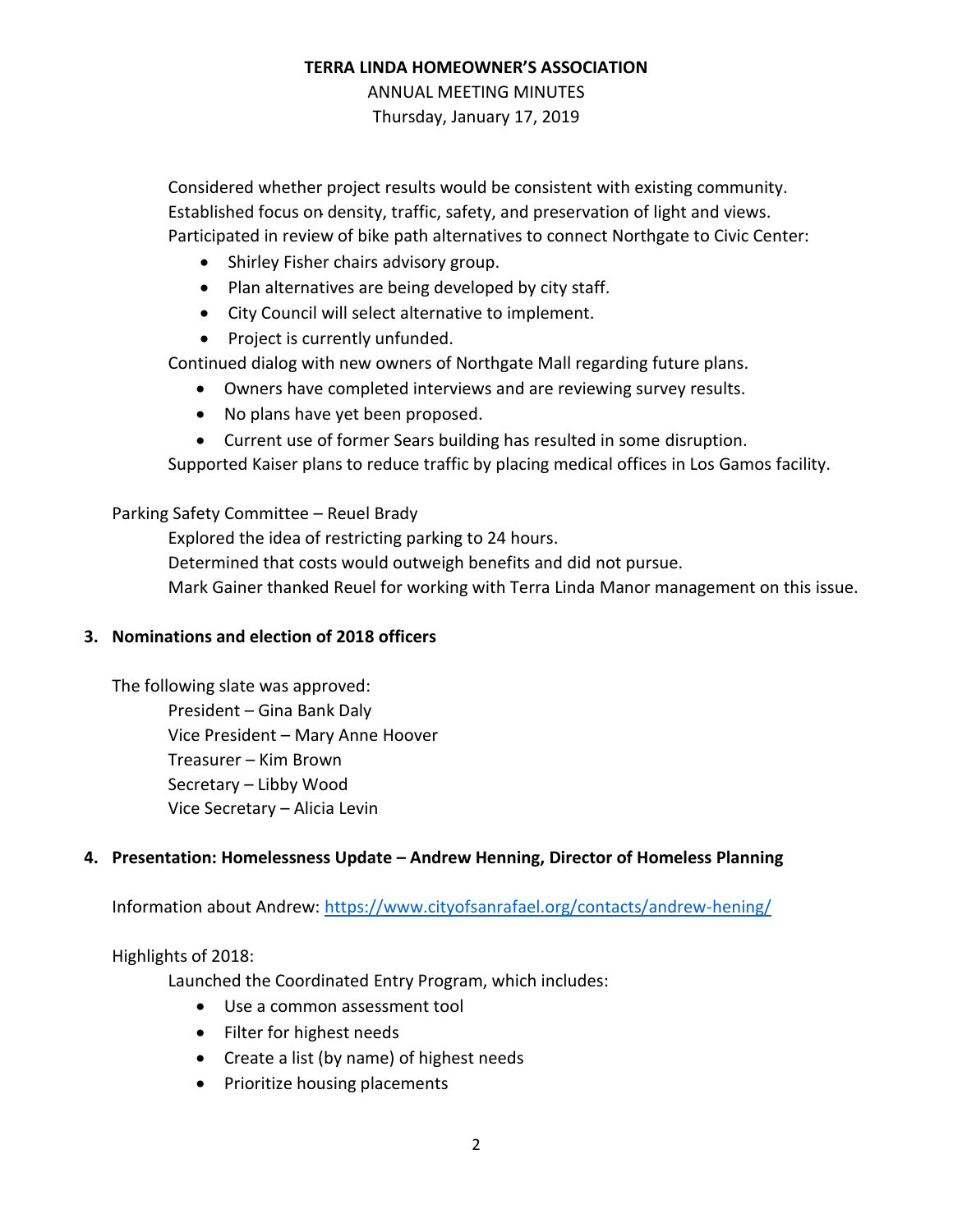ANNUAL MEETING MINUTES Thursday, January 17, 2019

Considered whether project results would be consistent with existing community. Established focus on density, traffic, safety, and preservation of light and views. Participated in review of bike path alternatives to connect Northgate to Civic Center:

- Shirley Fisher chairs advisory group.
- Plan alternatives are being developed by city staff.
- City Council will select alternative to implement.
- Project is currently unfunded.

Continued dialog with new owners of Northgate Mall regarding future plans.

- Owners have completed interviews and are reviewing survey results.
- No plans have yet been proposed.
- Current use of former Sears building has resulted in some disruption.

Supported Kaiser plans to reduce traffic by placing medical offices in Los Gamos facility.

#### Parking Safety Committee – Reuel Brady

Explored the idea of restricting parking to 24 hours.

Determined that costs would outweigh benefits and did not pursue.

Mark Gainer thanked Reuel for working with Terra Linda Manor management on this issue.

### **3. Nominations and election of 2018 officers**

The following slate was approved: President – Gina Bank Daly Vice President – Mary Anne Hoover Treasurer – Kim Brown Secretary – Libby Wood Vice Secretary – Alicia Levin

### **4. Presentation: Homelessness Update – Andrew Henning, Director of Homeless Planning**

Information about Andrew:<https://www.cityofsanrafael.org/contacts/andrew-hening/>

Highlights of 2018:

Launched the Coordinated Entry Program, which includes:

- Use a common assessment tool
- Filter for highest needs
- Create a list (by name) of highest needs
- Prioritize housing placements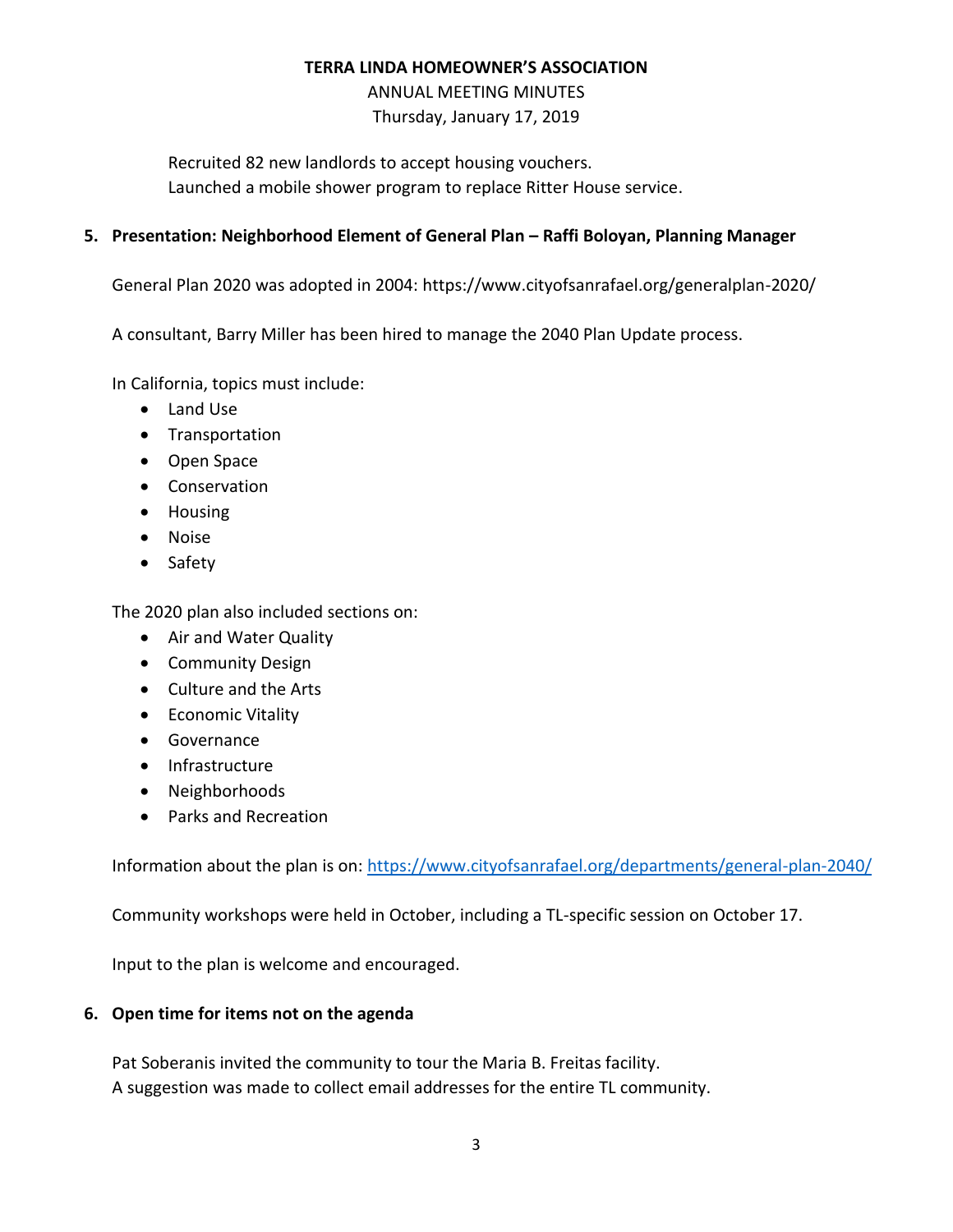ANNUAL MEETING MINUTES Thursday, January 17, 2019

Recruited 82 new landlords to accept housing vouchers. Launched a mobile shower program to replace Ritter House service.

## **5. Presentation: Neighborhood Element of General Plan – Raffi Boloyan, Planning Manager**

General Plan 2020 was adopted in 2004: https://www.cityofsanrafael.org/generalplan-2020/

A consultant, Barry Miller has been hired to manage the 2040 Plan Update process.

In California, topics must include:

- Land Use
- Transportation
- Open Space
- Conservation
- Housing
- Noise
- Safety

The 2020 plan also included sections on:

- Air and Water Quality
- Community Design
- Culture and the Arts
- Economic Vitality
- Governance
- Infrastructure
- Neighborhoods
- Parks and Recreation

Information about the plan is on:<https://www.cityofsanrafael.org/departments/general-plan-2040/>

Community workshops were held in October, including a TL-specific session on October 17.

Input to the plan is welcome and encouraged.

### **6. Open time for items not on the agenda**

Pat Soberanis invited the community to tour the Maria B. Freitas facility. A suggestion was made to collect email addresses for the entire TL community.